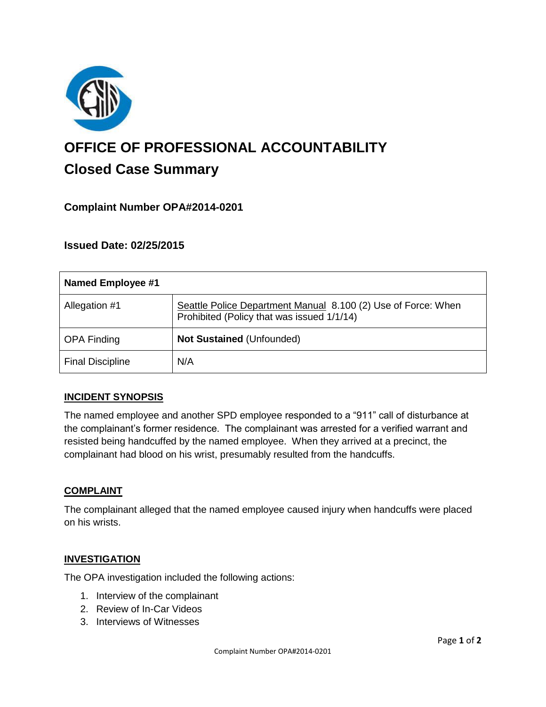

# **OFFICE OF PROFESSIONAL ACCOUNTABILITY Closed Case Summary**

## **Complaint Number OPA#2014-0201**

## **Issued Date: 02/25/2015**

| <b>Named Employee #1</b> |                                                                                                             |
|--------------------------|-------------------------------------------------------------------------------------------------------------|
| Allegation #1            | Seattle Police Department Manual 8.100 (2) Use of Force: When<br>Prohibited (Policy that was issued 1/1/14) |
| <b>OPA Finding</b>       | Not Sustained (Unfounded)                                                                                   |
| <b>Final Discipline</b>  | N/A                                                                                                         |

### **INCIDENT SYNOPSIS**

The named employee and another SPD employee responded to a "911" call of disturbance at the complainant's former residence. The complainant was arrested for a verified warrant and resisted being handcuffed by the named employee. When they arrived at a precinct, the complainant had blood on his wrist, presumably resulted from the handcuffs.

### **COMPLAINT**

The complainant alleged that the named employee caused injury when handcuffs were placed on his wrists.

#### **INVESTIGATION**

The OPA investigation included the following actions:

- 1. Interview of the complainant
- 2. Review of In-Car Videos
- 3. Interviews of Witnesses